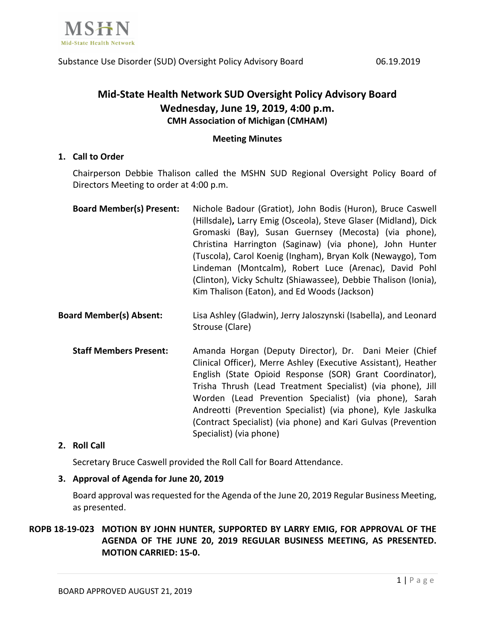

# **Mid-State Health Network SUD Oversight Policy Advisory Board Wednesday, June 19, 2019, 4:00 p.m. CMH Association of Michigan (CMHAM)**

# **Meeting Minutes**

# **1. Call to Order**

Chairperson Debbie Thalison called the MSHN SUD Regional Oversight Policy Board of Directors Meeting to order at 4:00 p.m.

| <b>Board Member(s) Present:</b> | Nichole Badour (Gratiot), John Bodis (Huron), Bruce Caswell     |
|---------------------------------|-----------------------------------------------------------------|
|                                 | (Hillsdale), Larry Emig (Osceola), Steve Glaser (Midland), Dick |
|                                 | Gromaski (Bay), Susan Guernsey (Mecosta) (via phone),           |
|                                 | Christina Harrington (Saginaw) (via phone), John Hunter         |
|                                 | (Tuscola), Carol Koenig (Ingham), Bryan Kolk (Newaygo), Tom     |
|                                 | Lindeman (Montcalm), Robert Luce (Arenac), David Pohl           |
|                                 | (Clinton), Vicky Schultz (Shiawassee), Debbie Thalison (Ionia), |
|                                 | Kim Thalison (Eaton), and Ed Woods (Jackson)                    |
|                                 |                                                                 |

- **Board Member(s) Absent:** Lisa Ashley (Gladwin), Jerry Jaloszynski (Isabella), and Leonard Strouse (Clare)
	- Staff Members Present: Amanda Horgan (Deputy Director), Dr. Dani Meier (Chief Clinical Officer), Merre Ashley (Executive Assistant), Heather English (State Opioid Response (SOR) Grant Coordinator), Trisha Thrush (Lead Treatment Specialist) (via phone), Jill Worden (Lead Prevention Specialist) (via phone), Sarah Andreotti (Prevention Specialist) (via phone), Kyle Jaskulka (Contract Specialist) (via phone) and Kari Gulvas (Prevention Specialist) (via phone)

# **2. Roll Call**

Secretary Bruce Caswell provided the Roll Call for Board Attendance.

#### **3. Approval of Agenda for June 20, 2019**

Board approval was requested for the Agenda of the June 20, 2019 Regular Business Meeting, as presented.

**ROPB 18-19-023 MOTION BY JOHN HUNTER, SUPPORTED BY LARRY EMIG, FOR APPROVAL OF THE AGENDA OF THE JUNE 20, 2019 REGULAR BUSINESS MEETING, AS PRESENTED. MOTION CARRIED: 15-0.**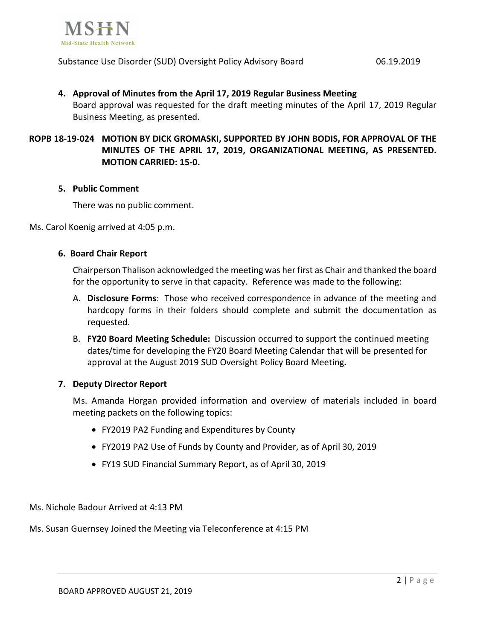

#### Substance Use Disorder (SUD) Oversight Policy Advisory Board 06.19.2019

# **4. Approval of Minutes from the April 17, 2019 Regular Business Meeting** Board approval was requested for the draft meeting minutes of the April 17, 2019 Regular Business Meeting, as presented.

# **ROPB 18-19-024 MOTION BY DICK GROMASKI, SUPPORTED BY JOHN BODIS, FOR APPROVAL OF THE MINUTES OF THE APRIL 17, 2019, ORGANIZATIONAL MEETING, AS PRESENTED. MOTION CARRIED: 15-0.**

#### **5. Public Comment**

There was no public comment.

Ms. Carol Koenig arrived at 4:05 p.m.

# **6. Board Chair Report**

Chairperson Thalison acknowledged the meeting was her first as Chair and thanked the board for the opportunity to serve in that capacity. Reference was made to the following:

- A. **Disclosure Forms**: Those who received correspondence in advance of the meeting and hardcopy forms in their folders should complete and submit the documentation as requested.
- B. **FY20 Board Meeting Schedule:** Discussion occurred to support the continued meeting dates/time for developing the FY20 Board Meeting Calendar that will be presented for approval at the August 2019 SUD Oversight Policy Board Meeting**.**

#### **7. Deputy Director Report**

Ms. Amanda Horgan provided information and overview of materials included in board meeting packets on the following topics:

- FY2019 PA2 Funding and Expenditures by County
- FY2019 PA2 Use of Funds by County and Provider, as of April 30, 2019
- FY19 SUD Financial Summary Report, as of April 30, 2019

Ms. Nichole Badour Arrived at 4:13 PM

Ms. Susan Guernsey Joined the Meeting via Teleconference at 4:15 PM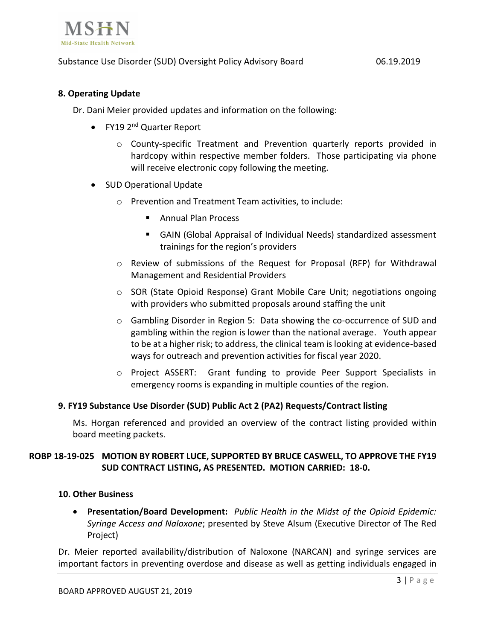

# Substance Use Disorder (SUD) Oversight Policy Advisory Board 06.19.2019

# **8. Operating Update**

Dr. Dani Meier provided updates and information on the following:

- FY19 2<sup>nd</sup> Quarter Report
	- o County-specific Treatment and Prevention quarterly reports provided in hardcopy within respective member folders. Those participating via phone will receive electronic copy following the meeting.
- SUD Operational Update
	- o Prevention and Treatment Team activities, to include:
		- Annual Plan Process
		- GAIN (Global Appraisal of Individual Needs) standardized assessment trainings for the region's providers
	- $\circ$  Review of submissions of the Request for Proposal (RFP) for Withdrawal Management and Residential Providers
	- o SOR (State Opioid Response) Grant Mobile Care Unit; negotiations ongoing with providers who submitted proposals around staffing the unit
	- $\circ$  Gambling Disorder in Region 5: Data showing the co-occurrence of SUD and gambling within the region is lower than the national average. Youth appear to be at a higher risk; to address, the clinical team is looking at evidence-based ways for outreach and prevention activities for fiscal year 2020.
	- o Project ASSERT: Grant funding to provide Peer Support Specialists in emergency rooms is expanding in multiple counties of the region.

#### **9. FY19 Substance Use Disorder (SUD) Public Act 2 (PA2) Requests/Contract listing**

Ms. Horgan referenced and provided an overview of the contract listing provided within board meeting packets.

# **ROBP 18-19-025 MOTION BY ROBERT LUCE, SUPPORTED BY BRUCE CASWELL, TO APPROVE THE FY19 SUD CONTRACT LISTING, AS PRESENTED. MOTION CARRIED: 18-0.**

#### **10. Other Business**

• **Presentation/Board Development:** *Public Health in the Midst of the Opioid Epidemic: Syringe Access and Naloxone*; presented by Steve Alsum (Executive Director of The Red Project)

Dr. Meier reported availability/distribution of Naloxone (NARCAN) and syringe services are important factors in preventing overdose and disease as well as getting individuals engaged in